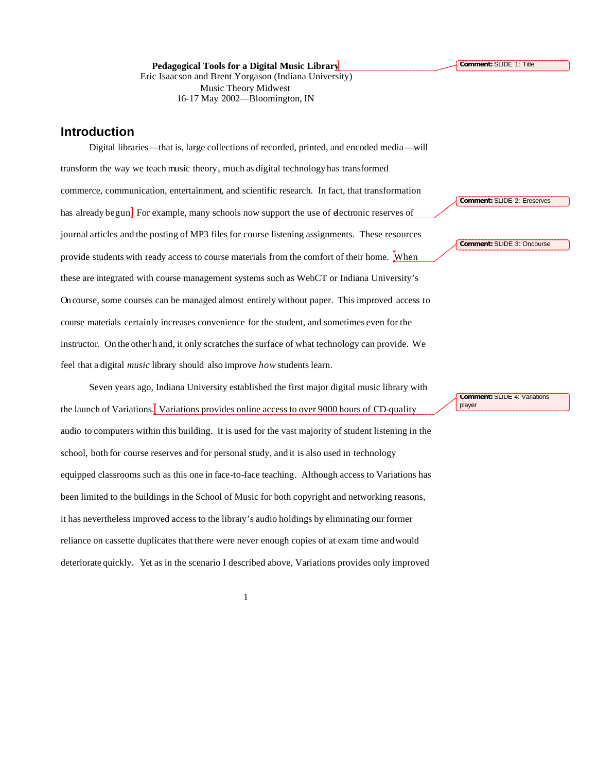**Pedagogical Tools for a Digital Music Library** Eric Isaacson and Brent Yorgason (Indiana University) Music Theory Midwest 16-17 May 2002—Bloomington, IN

### **Introduction**

Digital libraries—that is, large collections of recorded, printed, and encoded media—will transform the way we teach music theory, much as digital technology has transformed commerce, communication, entertainment, and scientific research. In fact, that transformation has already begun. For example, many schools now support the use of electronic reserves of journal articles and the posting of MP3 files for course listening assignments. These resources provide students with ready access to course materials from the comfort of their home. When these are integrated with course management systems such as WebCT or Indiana University's Oncourse, some courses can be managed almost entirely without paper. This improved access to course materials certainly increases convenience for the student, and sometimes even for the instructor. On the other h and, it only scratches the surface of what technology can provide. We feel that a digital *music* library should also improve *how* students learn.

Seven years ago, Indiana University established the first major digital music library with the launch of Variations. Variations provides online access to over 9000 hours of CD-quality audio to computers within this building. It is used for the vast majority of student listening in the school, both for course reserves and for personal study, and it is also used in technology equipped classrooms such as this one in face-to-face teaching. Although access to Variations has been limited to the buildings in the School of Music for both copyright and networking reasons, it has nevertheless improved access to the library's audio holdings by eliminating our former reliance on cassette duplicates that there were never enough copies of at exam time and would deteriorate quickly. Yet as in the scenario I described above, Variations provides only improved

**Comment:** SLIDE 2: Ereserves

**Comment:** SLIDE 3: Oncourse

**Comment:** SLIDE 4: Variations player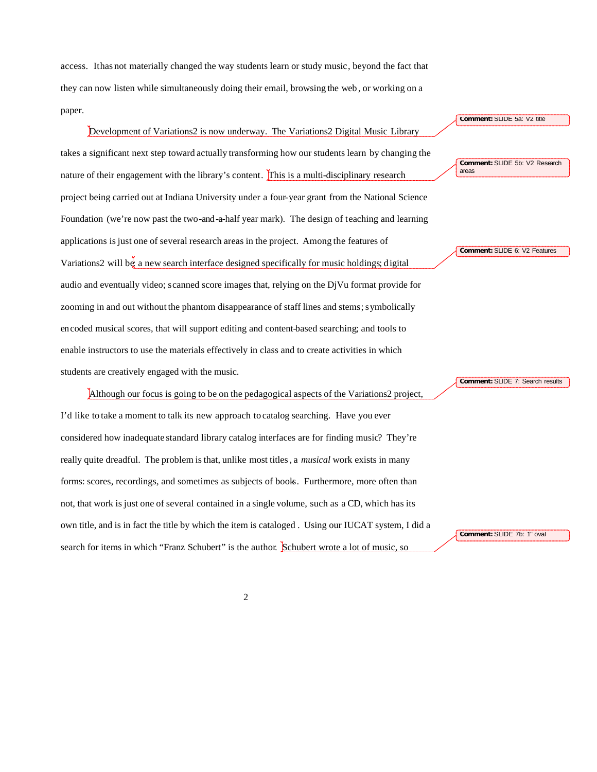access. It has not materially changed the way students learn or study music, beyond the fact that they can now listen while simultaneously doing their email, browsing the web , or working on a paper.

# Development of Variations2 is now underway. The Variations2 Digital Music Library takes a significant next step toward actually transforming how our students learn by changing the nature of their engagement with the library's content. This is a multi-disciplinary research project being carried out at Indiana University under a four-year grant from the National Science Foundation (we're now past the two-and-a-half year mark). The design of teaching and learning applications is just one of several research areas in the project. Among the features of Variations2 will be a new search interface designed specifically for music holdings; digital audio and eventually video; scanned score images that, relying on the DjVu format provide for zooming in and out without the phantom disappearance of staff lines and stems; symbolically encoded musical scores, that will support editing and content-based searching; and tools to enable instructors to use the materials effectively in class and to create activities in which students are creatively engaged with the music.

Although our focus is going to be on the pedagogical aspects of the Variations2 project, I'd like to take a moment to talk its new approach to catalog searching. Have you ever considered how inadequate standard library catalog interfaces are for finding music? They're really quite dreadful. The problem is that, unlike most titles, a *musical* work exists in many forms: scores, recordings, and sometimes as subjects of books. Furthermore, more often than not, that work is just one of several contained in a single volume, such as a CD, which has its own title, and is in fact the title by which the item is cataloged . Using our IUCAT system, I did a search for items in which "Franz Schubert" is the author. Schubert wrote a lot of music, so

**Comment:** SLIDE 5a: V2 title

**Comment: SLIDE 5b: V2 Research** areas

**Comment:** SLIDE 6: V2 Features

**Comment:** SLIDE 7: Search results

**Comment:** SLIDE 7b: 1st oval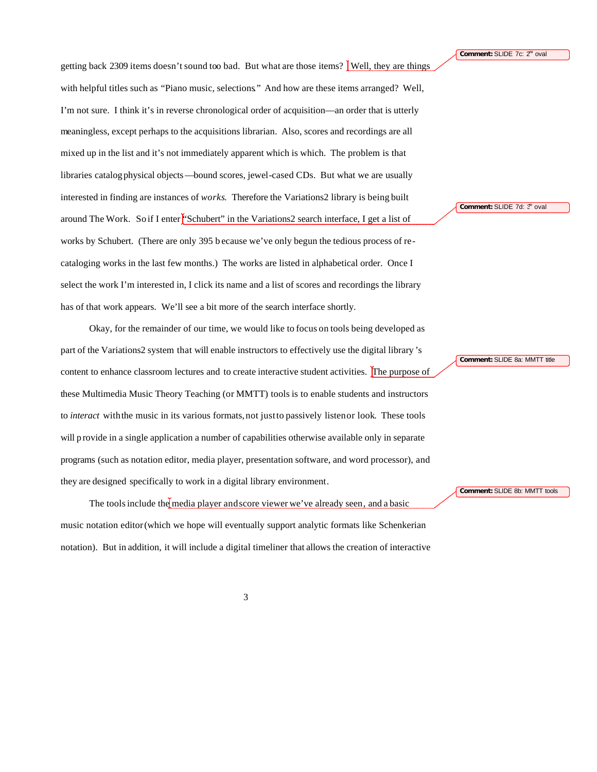**Comment: SLIDE 7c: 2<sup>nd</sup> oval** 

getting back 2309 items doesn't sound too bad. But what are those items? Well, they are things with helpful titles such as "Piano music, selections." And how are these items arranged? Well, I'm not sure. I think it's in reverse chronological order of acquisition—an order that is utterly meaningless, except perhaps to the acquisitions librarian. Also, scores and recordings are all mixed up in the list and it's not immediately apparent which is which. The problem is that libraries catalog physical objects—bound scores, jewel-cased CDs. But what we are usually interested in finding are instances of *works*. Therefore the Variations2 library is being built around The Work. So if I enter  $\frac{1}{2}$  Schubert" in the Variations 2 search interface, I get a list of works by Schubert. (There are only 395 b ecause we've only begun the tedious process of recataloging works in the last few months.) The works are listed in alphabetical order. Once I select the work I'm interested in, I click its name and a list of scores and recordings the library has of that work appears. We'll see a bit more of the search interface shortly.

Okay, for the remainder of our time, we would like to focus on tools being developed as part of the Variations2 system that will enable instructors to effectively use the digital library 's content to enhance classroom lectures and to create interactive student activities. The purpose of these Multimedia Music Theory Teaching (or MMTT) tools is to enable students and instructors to *interact* with the music in its various formats, not justto passively listen or look. These tools will provide in a single application a number of capabilities otherwise available only in separate programs (such as notation editor, media player, presentation software, and word processor), and they are designed specifically to work in a digital library environment.

The tools include the media player and score viewer we've already seen, and a basic music notation editor (which we hope will eventually support analytic formats like Schenkerian notation). But in addition, it will include a digital timeliner that allows the creation of interactive **Comment: SLIDE 7d: 3<sup>n</sup> oval** 

**Comment:** SLIDE 8a: MMTT title

**Comment:** SLIDE 8b: MMTT tools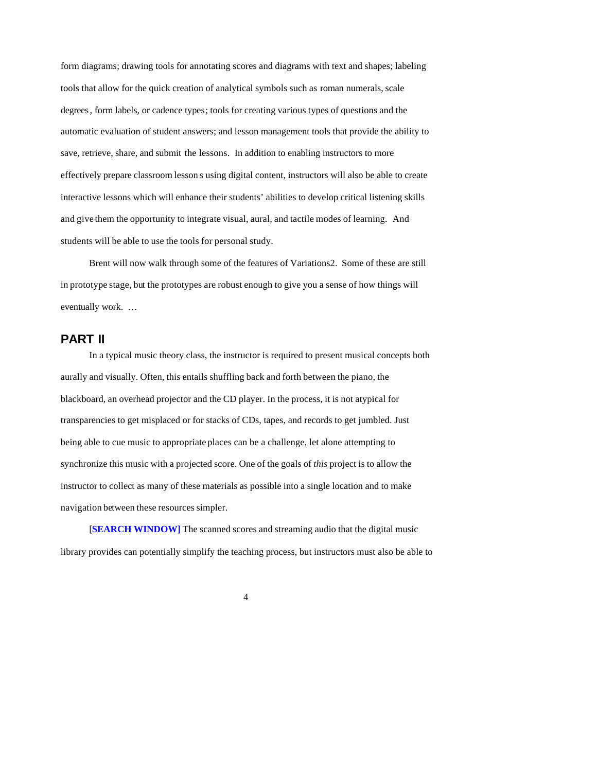form diagrams; drawing tools for annotating scores and diagrams with text and shapes; labeling tools that allow for the quick creation of analytical symbols such as roman numerals, scale degrees, form labels, or cadence types; tools for creating various types of questions and the automatic evaluation of student answers; and lesson management tools that provide the ability to save, retrieve, share, and submit the lessons. In addition to enabling instructors to more effectively prepare classroom lesson s using digital content, instructors will also be able to create interactive lessons which will enhance their students' abilities to develop critical listening skills and give them the opportunity to integrate visual, aural, and tactile modes of learning. And students will be able to use the tools for personal study.

Brent will now walk through some of the features of Variations2. Some of these are still in prototype stage, but the prototypes are robust enough to give you a sense of how things will eventually work. …

## **PART II**

In a typical music theory class, the instructor is required to present musical concepts both aurally and visually. Often, this entails shuffling back and forth between the piano, the blackboard, an overhead projector and the CD player. In the process, it is not atypical for transparencies to get misplaced or for stacks of CDs, tapes, and records to get jumbled. Just being able to cue music to appropriate places can be a challenge, let alone attempting to synchronize this music with a projected score. One of the goals of *this* project is to allow the instructor to collect as many of these materials as possible into a single location and to make navigation between these resources simpler.

[**SEARCH WINDOW]** The scanned scores and streaming audio that the digital music library provides can potentially simplify the teaching process, but instructors must also be able to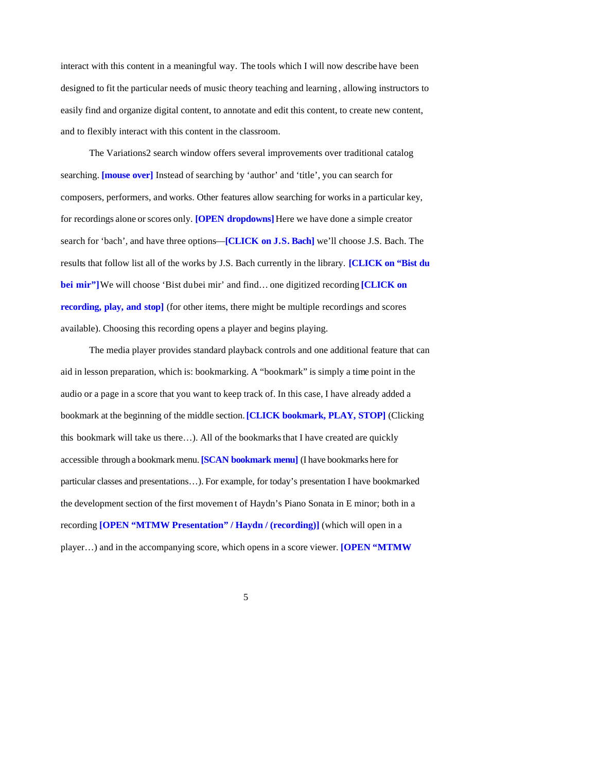interact with this content in a meaningful way. The tools which I will now describe have been designed to fit the particular needs of music theory teaching and learning , allowing instructors to easily find and organize digital content, to annotate and edit this content, to create new content, and to flexibly interact with this content in the classroom.

The Variations2 search window offers several improvements over traditional catalog searching. **[mouse over]** Instead of searching by 'author' and 'title', you can search for composers, performers, and works. Other features allow searching for works in a particular key, for recordings alone or scores only. **[OPEN dropdowns]** Here we have done a simple creator search for 'bach', and have three options—**[CLICK on J.S. Bach]** we'll choose J.S. Bach. The results that follow list all of the works by J.S. Bach currently in the library. **[CLICK on "Bist du bei mir"]** We will choose 'Bist du bei mir' and find… one digitized recording **[CLICK on recording, play, and stop**] (for other items, there might be multiple recordings and scores available). Choosing this recording opens a player and begins playing.

The media player provides standard playback controls and one additional feature that can aid in lesson preparation, which is: bookmarking. A "bookmark" is simply a time point in the audio or a page in a score that you want to keep track of. In this case, I have already added a bookmark at the beginning of the middle section. **[CLICK bookmark, PLAY, STOP]** (Clicking this bookmark will take us there…). All of the bookmarks that I have created are quickly accessible through a bookmark menu. **[SCAN bookmark menu]** (I have bookmarks here for particular classes and presentations…). For example, for today's presentation I have bookmarked the development section of the first movemen t of Haydn's Piano Sonata in E minor; both in a recording **[OPEN "MTMW Presentation" / Haydn / (recording)]** (which will open in a player…) and in the accompanying score, which opens in a score viewer. **[OPEN "MTMW**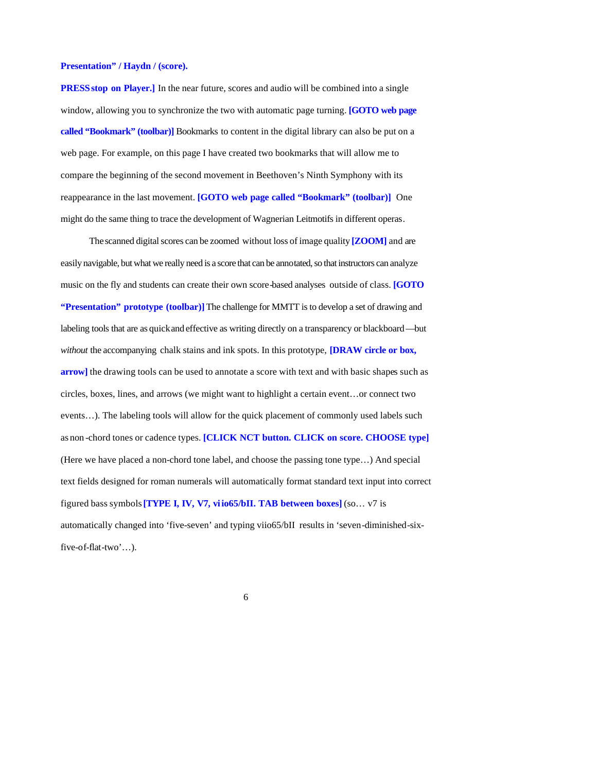#### **Presentation" / Haydn / (score).**

**PRESS stop on Player.**] In the near future, scores and audio will be combined into a single window, allowing you to synchronize the two with automatic page turning. **[GOTO web page called "Bookmark" (toolbar)]** Bookmarks to content in the digital library can also be put on a web page. For example, on this page I have created two bookmarks that will allow me to compare the beginning of the second movement in Beethoven's Ninth Symphony with its reappearance in the last movement. **[GOTO web page called "Bookmark" (toolbar)]** One might do the same thing to trace the development of Wagnerian Leitmotifs in different operas.

The scanned digital scores can be zoomed without loss of image quality **[ZOOM]** and are easily navigable, but what we really need is a score that can be annotated, so that instructors can analyze music on the fly and students can create their own score-based analyses outside of class. **[GOTO "Presentation" prototype (toolbar)]**The challenge for MMTT is to develop a set of drawing and labeling tools that are as quickand effective as writing directly on a transparency or blackboard—but *without* the accompanying chalk stains and ink spots. In this prototype, **[DRAW circle or box, arrow]** the drawing tools can be used to annotate a score with text and with basic shapes such as circles, boxes, lines, and arrows (we might want to highlight a certain event…or connect two events…). The labeling tools will allow for the quick placement of commonly used labels such as non -chord tones or cadence types. **[CLICK NCT button. CLICK on score. CHOOSE type]** (Here we have placed a non-chord tone label, and choose the passing tone type…) And special text fields designed for roman numerals will automatically format standard text input into correct figured bass symbols **[TYPE I, IV, V7, viio65/bII. TAB between boxes]** (so… v7 is automatically changed into 'five-seven' and typing viio65/bII results in 'seven-diminished-sixfive-of-flat-two'…).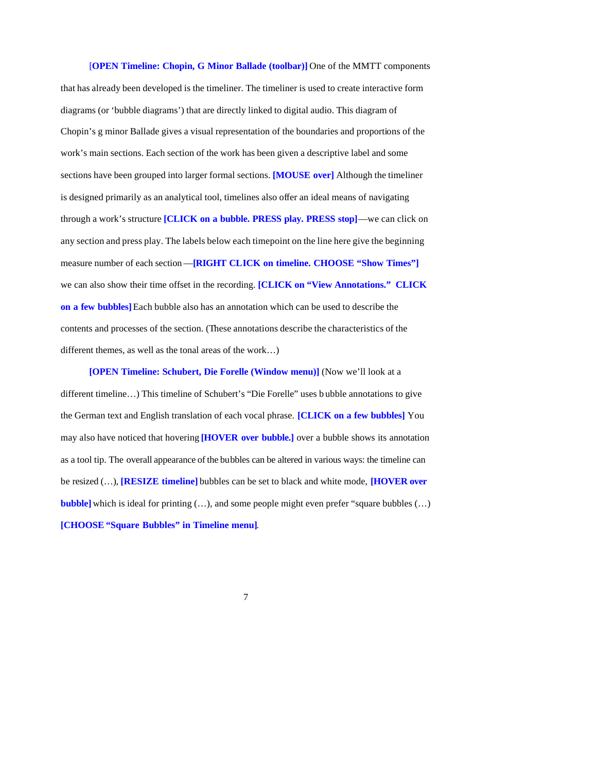[**OPEN Timeline: Chopin, G Minor Ballade (toolbar)]** One of the MMTT components that has already been developed is the timeliner. The timeliner is used to create interactive form diagrams (or 'bubble diagrams') that are directly linked to digital audio. This diagram of Chopin's g minor Ballade gives a visual representation of the boundaries and proportions of the work's main sections. Each section of the work has been given a descriptive label and some sections have been grouped into larger formal sections. **[MOUSE over]** Although the timeliner is designed primarily as an analytical tool, timelines also offer an ideal means of navigating through a work's structure **[CLICK on a bubble. PRESS play. PRESS stop]**—we can click on any section and press play. The labels below each timepoint on the line here give the beginning measure number of each section—**[RIGHT CLICK on timeline. CHOOSE "Show Times"]** we can also show their time offset in the recording. **[CLICK on "View Annotations." CLICK on a few bubbles]** Each bubble also has an annotation which can be used to describe the contents and processes of the section. (These annotations describe the characteristics of the different themes, as well as the tonal areas of the work…)

**[OPEN Timeline: Schubert, Die Forelle (Window menu)]** (Now we'll look at a different timeline…) This timeline of Schubert's "Die Forelle" uses b ubble annotations to give the German text and English translation of each vocal phrase. **[CLICK on a few bubbles]** You may also have noticed that hovering **[HOVER over bubble.]** over a bubble shows its annotation as a tool tip. The overall appearance of the bubbles can be altered in various ways: the timeline can be resized (…), **[RESIZE timeline]** bubbles can be set to black and white mode, **[HOVER over bubble]** which is ideal for printing (...), and some people might even prefer "square bubbles (...) **[CHOOSE "Square Bubbles" in Timeline menu]**.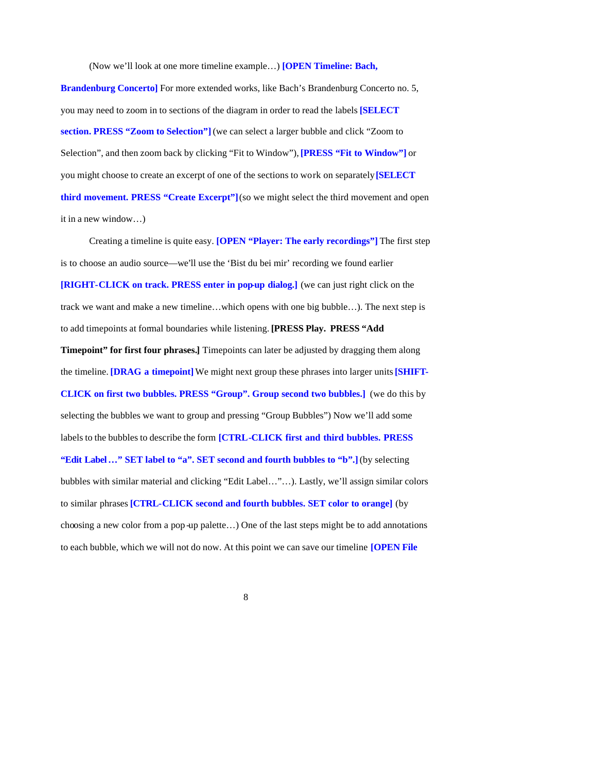(Now we'll look at one more timeline example…) **[OPEN Timeline: Bach,** 

**Brandenburg Concerto]** For more extended works, like Bach's Brandenburg Concerto no. 5, you may need to zoom in to sections of the diagram in order to read the labels **[SELECT section. PRESS "Zoom to Selection"]** (we can select a larger bubble and click "Zoom to Selection", and then zoom back by clicking "Fit to Window"), **[PRESS "Fit to Window"]** or you might choose to create an excerpt of one of the sections to work on separately **[SELECT third movement. PRESS "Create Excerpt"]** (so we might select the third movement and open it in a new window…)

Creating a timeline is quite easy. **[OPEN "Player: The early recordings"]** The first step is to choose an audio source—we'll use the 'Bist du bei mir' recording we found earlier **[RIGHT-CLICK on track. PRESS enter in pop-up dialog.]** (we can just right click on the track we want and make a new timeline…which opens with one big bubble…). The next step is to add timepoints at formal boundaries while listening. **[PRESS Play. PRESS "Add Timepoint" for first four phrases.]** Timepoints can later be adjusted by dragging them along the timeline. **[DRAG a timepoint]** We might next group these phrases into larger units **[SHIFT-CLICK on first two bubbles. PRESS "Group". Group second two bubbles.]** (we do this by selecting the bubbles we want to group and pressing "Group Bubbles") Now we'll add some labels to the bubbles to describe the form **[CTRL-CLICK first and third bubbles. PRESS "Edit Label…" SET label to "a". SET second and fourth bubbles to "b".]** (by selecting bubbles with similar material and clicking "Edit Label…"…). Lastly, we'll assign similar colors to similar phrases **[CTRL-CLICK second and fourth bubbles. SET color to orange]** (by choosing a new color from a pop -up palette…) One of the last steps might be to add annotations to each bubble, which we will not do now. At this point we can save our timeline **[OPEN File**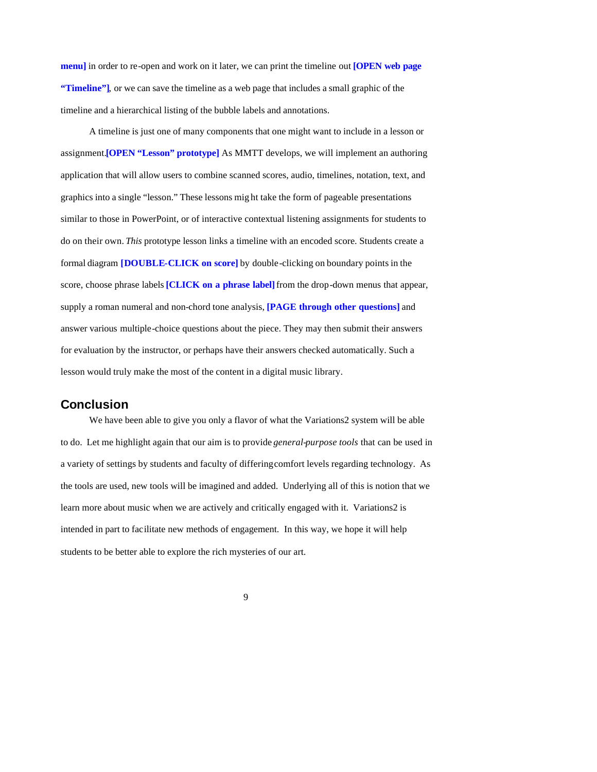**menu]** in order to re-open and work on it later, we can print the timeline out **[OPEN web page "Timeline"]**, or we can save the timeline as a web page that includes a small graphic of the timeline and a hierarchical listing of the bubble labels and annotations.

A timeline is just one of many components that one might want to include in a lesson or assignment.**[OPEN "Lesson" prototype]** As MMTT develops, we will implement an authoring application that will allow users to combine scanned scores, audio, timelines, notation, text, and graphics into a single "lesson." These lessons mig ht take the form of pageable presentations similar to those in PowerPoint, or of interactive contextual listening assignments for students to do on their own. *This* prototype lesson links a timeline with an encoded score. Students create a formal diagram **[DOUBLE-CLICK on score]** by double-clicking on boundary points in the score, choose phrase labels **[CLICK on a phrase label]** from the drop-down menus that appear, supply a roman numeral and non-chord tone analysis, **[PAGE through other questions]** and answer various multiple-choice questions about the piece. They may then submit their answers for evaluation by the instructor, or perhaps have their answers checked automatically. Such a lesson would truly make the most of the content in a digital music library.

#### **Conclusion**

We have been able to give you only a flavor of what the Variations2 system will be able to do. Let me highlight again that our aim is to provide *general-purpose tools* that can be used in a variety of settings by students and faculty of differing comfort levels regarding technology. As the tools are used, new tools will be imagined and added. Underlying all of this is notion that we learn more about music when we are actively and critically engaged with it. Variations2 is intended in part to facilitate new methods of engagement. In this way, we hope it will help students to be better able to explore the rich mysteries of our art.